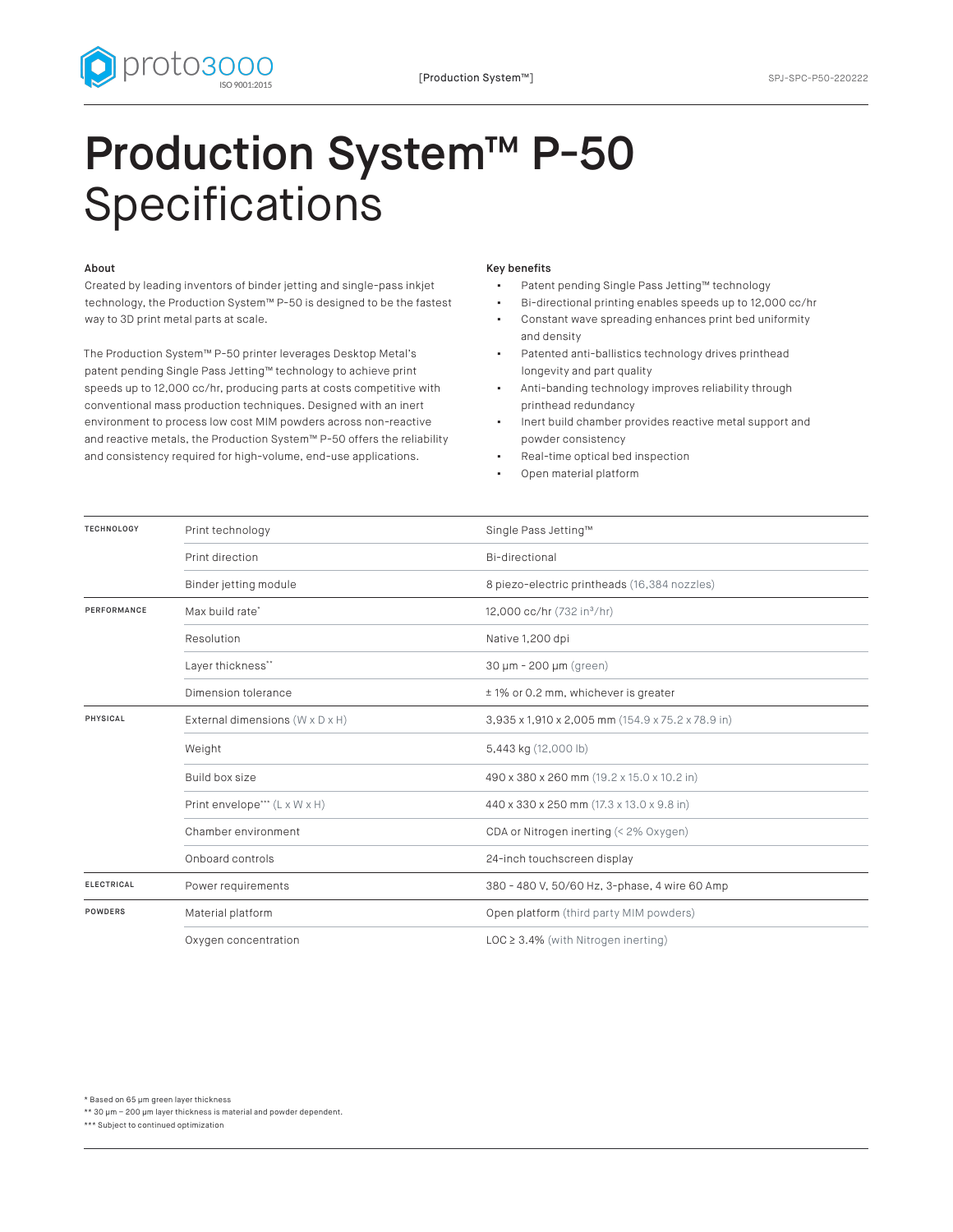



## Production System™ P-50 Specifications

## About

Created by leading inventors of binder jetting and single-pass inkjet technology, the Production System™ P-50 is designed to be the fastest way to 3D print metal parts at scale.

The Production System™ P-50 printer leverages Desktop Metal's patent pending Single Pass Jetting™ technology to achieve print speeds up to 12,000 cc/hr, producing parts at costs competitive with conventional mass production techniques. Designed with an inert environment to process low cost MIM powders across non-reactive and reactive metals, the Production System™ P-50 offers the reliability and consistency required for high-volume, end-use applications.

## Key benefits

- Patent pending Single Pass Jetting™ technology
- Bi-directional printing enables speeds up to 12,000 cc/hr
- Constant wave spreading enhances print bed uniformity and density
- Patented anti-ballistics technology drives printhead longevity and part quality
- Anti-banding technology improves reliability through printhead redundancy
- Inert build chamber provides reactive metal support and powder consistency
- Real-time optical bed inspection
- Open material platform

| <b>TECHNOLOGY</b> | Print technology                          | Single Pass Jetting™                              |
|-------------------|-------------------------------------------|---------------------------------------------------|
|                   | Print direction                           | Bi-directional                                    |
|                   | Binder jetting module                     | 8 piezo-electric printheads (16,384 nozzles)      |
| PERFORMANCE       | Max build rate*                           | 12,000 cc/hr (732 in <sup>3</sup> /hr)            |
|                   | Resolution                                | Native 1,200 dpi                                  |
|                   | Layer thickness**                         | 30 µm - 200 µm (green)                            |
|                   | Dimension tolerance                       | ± 1% or 0.2 mm, whichever is greater              |
| <b>PHYSICAL</b>   | External dimensions (W x D x H)           | 3,935 x 1,910 x 2,005 mm (154.9 x 75.2 x 78.9 in) |
|                   | Weight                                    | 5,443 kg (12,000 lb)                              |
|                   | Build box size                            | 490 x 380 x 260 mm (19.2 x 15.0 x 10.2 in)        |
|                   | Print envelope*** $(L \times W \times H)$ | 440 x 330 x 250 mm (17.3 x 13.0 x 9.8 in)         |
|                   | Chamber environment                       | CDA or Nitrogen inerting (< 2% Oxygen)            |
|                   | Onboard controls                          | 24-inch touchscreen display                       |
| <b>ELECTRICAL</b> | Power requirements                        | 380 - 480 V, 50/60 Hz, 3-phase, 4 wire 60 Amp     |
| <b>POWDERS</b>    | Material platform                         | Open platform (third party MIM powders)           |
|                   | Oxygen concentration                      | $\text{LOC} \geq 3.4\%$ (with Nitrogen inerting)  |

\* Based on 65 µm green layer thickness

\*\* 30 µm – 200 µm layer thickness is material and powder dependent.

\*\*\* Subject to continued optimization